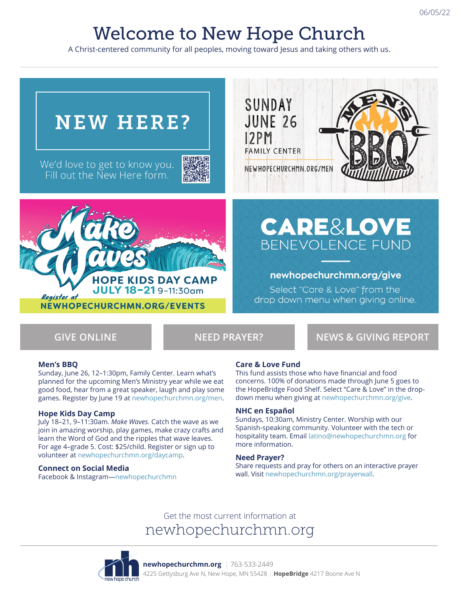# Welcome to New Hope Church

A Christ-centered community for all peoples, moving toward Jesus and taking others with us.



**GIVE ONLINE NEED PRAYER? NEWS & GIVING REPORT**

### **Men's BBQ**

Sunday, June 26, 12–1:30pm, Family Center. Learn what's planned for the upcoming Men's Ministry year while we eat good food, hear from a great speaker, laugh and play some games. Register by June 19 at newhopechurchmn.org/men.

#### **Hope Kids Day Camp**

July 18–21, 9–11:30am. *Make Waves.* Catch the wave as we join in amazing worship, play games, make crazy crafts and learn the Word of God and the ripples that wave leaves. For age 4–grade 5. Cost: \$25/child. Register or sign up to volunteer at newhopechurchmn.org/daycamp.

#### **Connect on Social Media**

Facebook & Instagram—newhopechurchmn

### **Care & Love Fund**

This fund assists those who have financial and food concerns. 100% of donations made through June 5 goes to the HopeBridge Food Shelf. Select "Care & Love" in the dropdown menu when giving at newhopechurchmn.org/give.

#### **NHC en Español**

Sundays, 10:30am, Ministry Center. Worship with our Spanish-speaking community. Volunteer with the tech or hospitality team. Email latino@newhopechurchmn.org for more information.

#### **Need Prayer?**

Share requests and pray for others on an interactive prayer wall. Visit newhopechurchmn.org/prayerwall.

# Get the most current information at newhopechurchmn.org